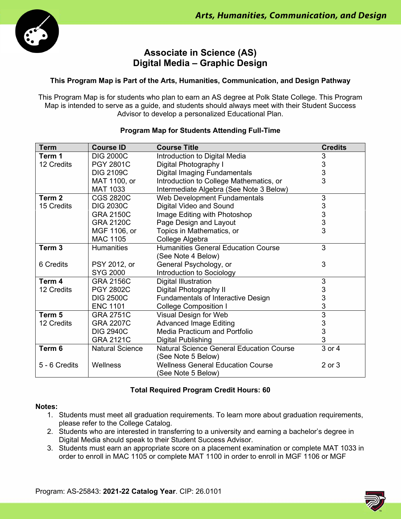

# **Associate in Science (AS) Digital Media – Graphic Design**

# **This Program Map is Part of the Arts, Humanities, Communication, and Design Pathway**

This Program Map is for students who plan to earn an AS degree at Polk State College. This Program Map is intended to serve as a guide, and students should always meet with their Student Success Advisor to develop a personalized Educational Plan.

| <b>Term</b>   | <b>Course ID</b>       | <b>Course Title</b>                             | <b>Credits</b> |
|---------------|------------------------|-------------------------------------------------|----------------|
| Term 1        | <b>DIG 2000C</b>       | Introduction to Digital Media                   | 3              |
| 12 Credits    | <b>PGY 2801C</b>       | Digital Photography I                           | 3              |
|               | <b>DIG 2109C</b>       | <b>Digital Imaging Fundamentals</b>             | 3              |
|               | MAT 1100, or           | Introduction to College Mathematics, or         | 3              |
|               | <b>MAT 1033</b>        | Intermediate Algebra (See Note 3 Below)         |                |
| Term 2        | <b>CGS 2820C</b>       | <b>Web Development Fundamentals</b>             | 3              |
| 15 Credits    | <b>DIG 2030C</b>       | Digital Video and Sound                         | $\mathsf 3$    |
|               | <b>GRA 2150C</b>       | Image Editing with Photoshop                    | 3              |
|               | <b>GRA 2120C</b>       | Page Design and Layout                          | 3              |
|               | MGF 1106, or           | Topics in Mathematics, or                       | 3              |
|               | <b>MAC 1105</b>        | College Algebra                                 |                |
| Term 3        | <b>Humanities</b>      | <b>Humanities General Education Course</b>      | 3              |
|               |                        | (See Note 4 Below)                              |                |
| 6 Credits     | PSY 2012, or           | General Psychology, or                          | 3              |
|               | <b>SYG 2000</b>        | Introduction to Sociology                       |                |
| Term 4        | <b>GRA 2156C</b>       | <b>Digital Illustration</b>                     | 3              |
| 12 Credits    | <b>PGY 2802C</b>       | Digital Photography II                          | 3              |
|               | <b>DIG 2500C</b>       | <b>Fundamentals of Interactive Design</b>       | 3              |
|               | <b>ENC 1101</b>        | <b>College Composition I</b>                    | 3              |
| Term 5        | <b>GRA 2751C</b>       | Visual Design for Web                           | $\overline{3}$ |
| 12 Credits    | <b>GRA 2207C</b>       | <b>Advanced Image Editing</b>                   | 3              |
|               | <b>DIG 2940C</b>       | Media Practicum and Portfolio                   | 3              |
|               | <b>GRA 2121C</b>       | <b>Digital Publishing</b>                       | 3              |
| Term 6        | <b>Natural Science</b> | <b>Natural Science General Education Course</b> | 3 or 4         |
|               |                        | (See Note 5 Below)                              |                |
| 5 - 6 Credits | Wellness               | <b>Wellness General Education Course</b>        | 2 or 3         |
|               |                        | (See Note 5 Below)                              |                |

## **Program Map for Students Attending Full-Time**

# **Total Required Program Credit Hours: 60**

### **Notes:**

- 1. Students must meet all graduation requirements. To learn more about graduation requirements, please refer to the College Catalog.
- 2. Students who are interested in transferring to a university and earning a bachelor's degree in Digital Media should speak to their Student Success Advisor.
- 3. Students must earn an appropriate score on a placement examination or complete MAT 1033 in order to enroll in MAC 1105 or complete MAT 1100 in order to enroll in MGF 1106 or MGF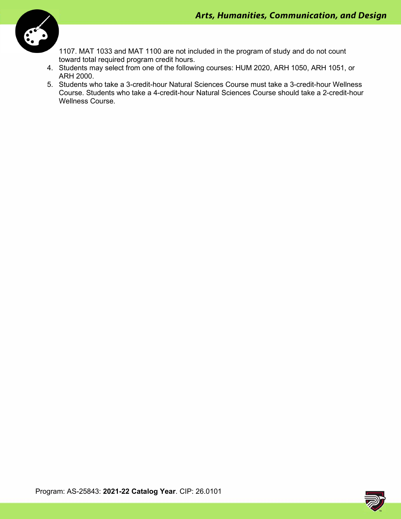

1107. MAT 1033 and MAT 1100 are not included in the program of study and do not count toward total required program credit hours.

- 4. Students may select from one of the following courses: HUM 2020, ARH 1050, ARH 1051, or ARH 2000.
- 5. Students who take a 3-credit-hour Natural Sciences Course must take a 3-credit-hour Wellness Course. Students who take a 4-credit-hour Natural Sciences Course should take a 2-credit-hour Wellness Course.

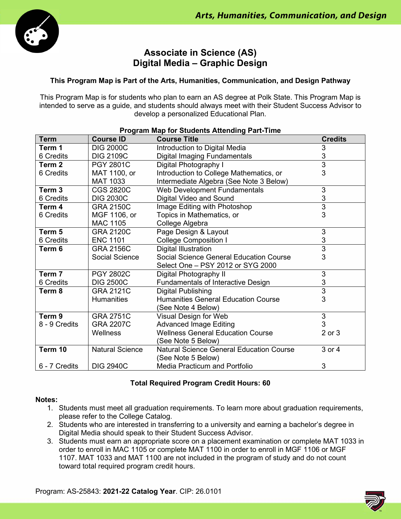

# **Associate in Science (AS) Digital Media – Graphic Design**

# **This Program Map is Part of the Arts, Humanities, Communication, and Design Pathway**

This Program Map is for students who plan to earn an AS degree at Polk State. This Program Map is intended to serve as a guide, and students should always meet with their Student Success Advisor to develop a personalized Educational Plan.

| Program Map for Students Attending Part-Time |                        |                                                 |                |  |  |
|----------------------------------------------|------------------------|-------------------------------------------------|----------------|--|--|
| <b>Term</b>                                  | <b>Course ID</b>       | <b>Course Title</b>                             | <b>Credits</b> |  |  |
| Term 1                                       | <b>DIG 2000C</b>       | Introduction to Digital Media                   | 3              |  |  |
| 6 Credits                                    | <b>DIG 2109C</b>       | Digital Imaging Fundamentals                    | 3              |  |  |
| Term 2                                       | <b>PGY 2801C</b>       | Digital Photography I                           | $\overline{3}$ |  |  |
| 6 Credits                                    | MAT 1100, or           | Introduction to College Mathematics, or         | 3              |  |  |
|                                              | <b>MAT 1033</b>        | Intermediate Algebra (See Note 3 Below)         |                |  |  |
| Term <sub>3</sub>                            | <b>CGS 2820C</b>       | Web Development Fundamentals                    | 3              |  |  |
| 6 Credits                                    | <b>DIG 2030C</b>       | Digital Video and Sound                         | 3              |  |  |
| Term 4                                       | <b>GRA 2150C</b>       | Image Editing with Photoshop                    | $\overline{3}$ |  |  |
| 6 Credits                                    | MGF 1106, or           | Topics in Mathematics, or                       | 3              |  |  |
|                                              | MAC 1105               | College Algebra                                 |                |  |  |
| Term 5                                       | <b>GRA 2120C</b>       | Page Design & Layout                            | 3              |  |  |
| 6 Credits                                    | <b>ENC 1101</b>        | <b>College Composition I</b>                    | 3              |  |  |
| Term 6                                       | <b>GRA 2156C</b>       | Digital Illustration                            | $\overline{3}$ |  |  |
|                                              | <b>Social Science</b>  | Social Science General Education Course         | 3              |  |  |
|                                              |                        | Select One - PSY 2012 or SYG 2000               |                |  |  |
| Term 7                                       | <b>PGY 2802C</b>       | Digital Photography II                          | 3              |  |  |
| 6 Credits                                    | <b>DIG 2500C</b>       | Fundamentals of Interactive Design              | 3              |  |  |
| Term 8                                       | <b>GRA 2121C</b>       | Digital Publishing                              | $\overline{3}$ |  |  |
|                                              | <b>Humanities</b>      | <b>Humanities General Education Course</b>      | 3              |  |  |
|                                              |                        | (See Note 4 Below)                              |                |  |  |
| Term <sub>9</sub>                            | <b>GRA 2751C</b>       | Visual Design for Web                           | 3              |  |  |
| 8 - 9 Credits                                | <b>GRA 2207C</b>       | <b>Advanced Image Editing</b>                   | 3              |  |  |
|                                              | Wellness               | <b>Wellness General Education Course</b>        | $2$ or $3$     |  |  |
|                                              |                        | (See Note 5 Below)                              |                |  |  |
| Term 10                                      | <b>Natural Science</b> | <b>Natural Science General Education Course</b> | 3 or 4         |  |  |
|                                              |                        | (See Note 5 Below)                              |                |  |  |
| 6 - 7 Credits                                | <b>DIG 2940C</b>       | <b>Media Practicum and Portfolio</b>            | 3              |  |  |

# **Total Required Program Credit Hours: 60**

### **Notes:**

- 1. Students must meet all graduation requirements. To learn more about graduation requirements, please refer to the College Catalog.
- 2. Students who are interested in transferring to a university and earning a bachelor's degree in Digital Media should speak to their Student Success Advisor.
- 3. Students must earn an appropriate score on a placement examination or complete MAT 1033 in order to enroll in MAC 1105 or complete MAT 1100 in order to enroll in MGF 1106 or MGF 1107. MAT 1033 and MAT 1100 are not included in the program of study and do not count toward total required program credit hours.